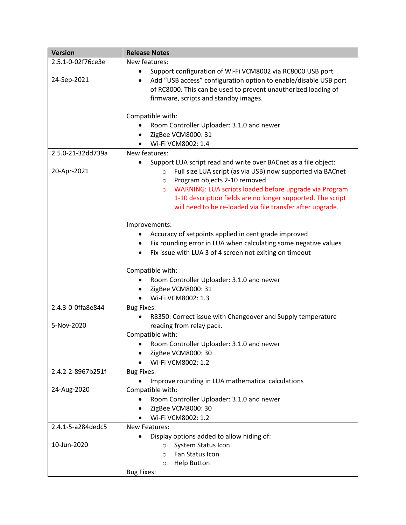| <b>Version</b>                   | <b>Release Notes</b>                                                                                                                                                                                                                                                                                                                                                                                   |  |
|----------------------------------|--------------------------------------------------------------------------------------------------------------------------------------------------------------------------------------------------------------------------------------------------------------------------------------------------------------------------------------------------------------------------------------------------------|--|
| 2.5.1-0-02f76ce3e<br>24-Sep-2021 | New features:<br>Support configuration of Wi-Fi VCM8002 via RC8000 USB port<br>$\bullet$<br>Add "USB access" configuration option to enable/disable USB port<br>$\bullet$<br>of RC8000. This can be used to prevent unauthorized loading of<br>firmware, scripts and standby images.                                                                                                                   |  |
|                                  | Compatible with:<br>Room Controller Uploader: 3.1.0 and newer<br>ZigBee VCM8000: 31<br>٠<br>Wi-Fi VCM8002: 1.4                                                                                                                                                                                                                                                                                         |  |
| 2.5.0-21-32dd739a<br>20-Apr-2021 | New features:<br>Support LUA script read and write over BACnet as a file object:<br>Full size LUA script (as via USB) now supported via BACnet<br>$\circ$<br>Program objects 2-10 removed<br>$\circ$<br>WARNING: LUA scripts loaded before upgrade via Program<br>$\circ$<br>1-10 description fields are no longer supported. The script<br>will need to be re-loaded via file transfer after upgrade. |  |
|                                  | Improvements:<br>Accuracy of setpoints applied in centigrade improved<br>Fix rounding error in LUA when calculating some negative values<br>٠<br>Fix issue with LUA 3 of 4 screen not exiting on timeout<br>$\bullet$<br>Compatible with:<br>Room Controller Uploader: 3.1.0 and newer<br>$\bullet$<br>ZigBee VCM8000: 31<br>٠<br>Wi-Fi VCM8002: 1.3                                                   |  |
| 2.4.3-0-0ffa8e844<br>5-Nov-2020  | <b>Bug Fixes:</b><br>R8350: Correct issue with Changeover and Supply temperature<br>reading from relay pack.<br>Compatible with:<br>• Room Controller Uploader: 3.1.0 and newer<br>ZigBee VCM8000: 30<br>Wi-Fi VCM8002: 1.2                                                                                                                                                                            |  |
| 2.4.2-2-8967b251f<br>24-Aug-2020 | <b>Bug Fixes:</b><br>Improve rounding in LUA mathematical calculations<br>Compatible with:<br>Room Controller Uploader: 3.1.0 and newer<br>ZigBee VCM8000: 30<br>Wi-Fi VCM8002: 1.2                                                                                                                                                                                                                    |  |
| 2.4.1-5-a284dedc5<br>10-Jun-2020 | <b>New Features:</b><br>Display options added to allow hiding of:<br>System Status Icon<br>$\circ$<br>Fan Status Icon<br>$\circ$<br><b>Help Button</b><br>$\circ$<br><b>Bug Fixes:</b>                                                                                                                                                                                                                 |  |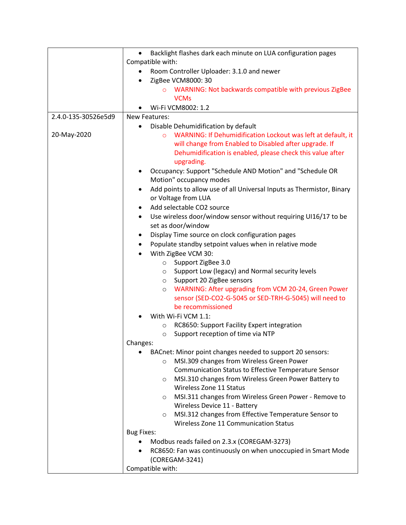|                                                                    | Backlight flashes dark each minute on LUA configuration pages<br>$\bullet$<br>Compatible with:                                                                                                                                          |  |
|--------------------------------------------------------------------|-----------------------------------------------------------------------------------------------------------------------------------------------------------------------------------------------------------------------------------------|--|
|                                                                    |                                                                                                                                                                                                                                         |  |
|                                                                    | Room Controller Uploader: 3.1.0 and newer<br>٠                                                                                                                                                                                          |  |
|                                                                    | ZigBee VCM8000: 30                                                                                                                                                                                                                      |  |
|                                                                    | WARNING: Not backwards compatible with previous ZigBee                                                                                                                                                                                  |  |
|                                                                    | <b>VCMs</b>                                                                                                                                                                                                                             |  |
|                                                                    | Wi-Fi VCM8002: 1.2                                                                                                                                                                                                                      |  |
| 2.4.0-135-30526e5d9                                                | New Features:                                                                                                                                                                                                                           |  |
|                                                                    | Disable Dehumidification by default<br>$\bullet$                                                                                                                                                                                        |  |
| 20-May-2020                                                        | WARNING: If Dehumidification Lockout was left at default, it<br>$\circ$                                                                                                                                                                 |  |
|                                                                    | will change from Enabled to Disabled after upgrade. If                                                                                                                                                                                  |  |
|                                                                    | Dehumidification is enabled, please check this value after                                                                                                                                                                              |  |
|                                                                    | upgrading.                                                                                                                                                                                                                              |  |
|                                                                    | Occupancy: Support "Schedule AND Motion" and "Schedule OR                                                                                                                                                                               |  |
|                                                                    | Motion" occupancy modes                                                                                                                                                                                                                 |  |
|                                                                    | Add points to allow use of all Universal Inputs as Thermistor, Binary<br>$\bullet$                                                                                                                                                      |  |
|                                                                    | or Voltage from LUA                                                                                                                                                                                                                     |  |
|                                                                    | Add selectable CO2 source<br>٠                                                                                                                                                                                                          |  |
|                                                                    | Use wireless door/window sensor without requiring UI16/17 to be<br>٠                                                                                                                                                                    |  |
|                                                                    | set as door/window                                                                                                                                                                                                                      |  |
|                                                                    | Display Time source on clock configuration pages<br>٠                                                                                                                                                                                   |  |
|                                                                    | Populate standby setpoint values when in relative mode<br>$\bullet$                                                                                                                                                                     |  |
|                                                                    | With ZigBee VCM 30:                                                                                                                                                                                                                     |  |
|                                                                    | Support ZigBee 3.0<br>$\circ$                                                                                                                                                                                                           |  |
|                                                                    | Support Low (legacy) and Normal security levels<br>$\circ$                                                                                                                                                                              |  |
|                                                                    | Support 20 ZigBee sensors<br>$\circ$                                                                                                                                                                                                    |  |
|                                                                    | WARNING: After upgrading from VCM 20-24, Green Power<br>$\circ$                                                                                                                                                                         |  |
|                                                                    | sensor (SED-CO2-G-5045 or SED-TRH-G-5045) will need to                                                                                                                                                                                  |  |
|                                                                    | be recommissioned                                                                                                                                                                                                                       |  |
|                                                                    | With Wi-Fi VCM 1.1:                                                                                                                                                                                                                     |  |
|                                                                    | RC8650: Support Facility Expert integration<br>$\circ$                                                                                                                                                                                  |  |
|                                                                    | Support reception of time via NTP<br>$\circ$                                                                                                                                                                                            |  |
|                                                                    | Changes:                                                                                                                                                                                                                                |  |
|                                                                    | BACnet: Minor point changes needed to support 20 sensors:                                                                                                                                                                               |  |
|                                                                    | MSI.309 changes from Wireless Green Power<br>$\circ$                                                                                                                                                                                    |  |
|                                                                    | <b>Communication Status to Effective Temperature Sensor</b>                                                                                                                                                                             |  |
|                                                                    | MSI.310 changes from Wireless Green Power Battery to<br>$\circ$                                                                                                                                                                         |  |
|                                                                    | Wireless Zone 11 Status<br>MSI.311 changes from Wireless Green Power - Remove to<br>$\circ$<br>Wireless Device 11 - Battery<br>MSI.312 changes from Effective Temperature Sensor to<br>$\circ$<br>Wireless Zone 11 Communication Status |  |
|                                                                    |                                                                                                                                                                                                                                         |  |
|                                                                    |                                                                                                                                                                                                                                         |  |
|                                                                    |                                                                                                                                                                                                                                         |  |
|                                                                    |                                                                                                                                                                                                                                         |  |
|                                                                    | <b>Bug Fixes:</b>                                                                                                                                                                                                                       |  |
|                                                                    | Modbus reads failed on 2.3.x (COREGAM-3273)                                                                                                                                                                                             |  |
| RC8650: Fan was continuously on when unoccupied in Smart Mode<br>٠ |                                                                                                                                                                                                                                         |  |
|                                                                    | (COREGAM-3241)                                                                                                                                                                                                                          |  |
|                                                                    | Compatible with:                                                                                                                                                                                                                        |  |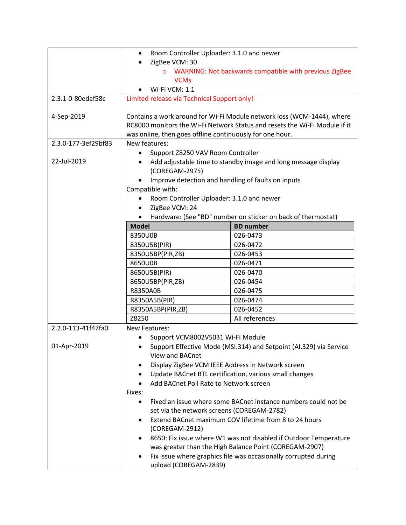|                                                   | Room Controller Uploader: 3.1.0 and newer<br>$\bullet$                                                                                                                                                           |                                                              |  |
|---------------------------------------------------|------------------------------------------------------------------------------------------------------------------------------------------------------------------------------------------------------------------|--------------------------------------------------------------|--|
|                                                   | ZigBee VCM: 30<br>WARNING: Not backwards compatible with previous ZigBee<br>$\circ$                                                                                                                              |                                                              |  |
|                                                   | <b>VCMs</b>                                                                                                                                                                                                      |                                                              |  |
|                                                   | Wi-Fi VCM: 1.1                                                                                                                                                                                                   |                                                              |  |
| 2.3.1-0-80edaf58c                                 | Limited release via Technical Support only!                                                                                                                                                                      |                                                              |  |
| 4-Sep-2019                                        | Contains a work around for Wi-Fi Module network loss (WCM-1444), where<br>RC8000 monitors the Wi-Fi Network Status and resets the Wi-Fi Module if it<br>was online, then goes offline continuously for one hour. |                                                              |  |
| 2.3.0-177-3ef29bf83                               | New features:                                                                                                                                                                                                    |                                                              |  |
| 22-Jul-2019                                       | Support Z8250 VAV Room Controller<br>Add adjustable time to standby image and long message display<br>(COREGAM-2975)<br>Improve detection and handling of faults on inputs                                       |                                                              |  |
|                                                   | Compatible with:                                                                                                                                                                                                 |                                                              |  |
|                                                   | Room Controller Uploader: 3.1.0 and newer                                                                                                                                                                        |                                                              |  |
|                                                   | ZigBee VCM: 24<br>$\bullet$                                                                                                                                                                                      |                                                              |  |
|                                                   |                                                                                                                                                                                                                  | Hardware: (See "BD" number on sticker on back of thermostat) |  |
|                                                   | <b>Model</b>                                                                                                                                                                                                     | <b>BD</b> number                                             |  |
|                                                   | 8350U0B                                                                                                                                                                                                          | 026-0473                                                     |  |
|                                                   | 8350U5B(PIR)                                                                                                                                                                                                     | 026-0472                                                     |  |
|                                                   | 8350U5BP(PIR,ZB)                                                                                                                                                                                                 | 026-0453                                                     |  |
|                                                   | 8650U0B                                                                                                                                                                                                          | 026-0471                                                     |  |
|                                                   | 8650U5B(PIR)                                                                                                                                                                                                     | 026-0470                                                     |  |
|                                                   | 8650U5BP(PIR,ZB)                                                                                                                                                                                                 | 026-0454                                                     |  |
|                                                   | <b>R8350A0B</b>                                                                                                                                                                                                  | 026-0475                                                     |  |
|                                                   | R8350A5B(PIR)                                                                                                                                                                                                    | 026-0474                                                     |  |
|                                                   | R8350A5BP(PIR,ZB)                                                                                                                                                                                                | 026-0452                                                     |  |
|                                                   | Z8250                                                                                                                                                                                                            | All references                                               |  |
| 2.2.0-113-41f47fa0                                | <b>New Features:</b>                                                                                                                                                                                             |                                                              |  |
|                                                   | Support VCM8002V5031 Wi-Fi Module                                                                                                                                                                                |                                                              |  |
| 01-Apr-2019                                       | Support Effective Mode (MSI.314) and Setpoint (AI.329) via Service                                                                                                                                               |                                                              |  |
|                                                   | View and BACnet                                                                                                                                                                                                  |                                                              |  |
| Display ZigBee VCM IEEE Address in Network screen |                                                                                                                                                                                                                  |                                                              |  |
|                                                   | Update BACnet BTL certification, various small changes<br>٠                                                                                                                                                      |                                                              |  |
| Add BACnet Poll Rate to Network screen            |                                                                                                                                                                                                                  |                                                              |  |
|                                                   | Fixes:                                                                                                                                                                                                           |                                                              |  |
|                                                   | Fixed an issue where some BACnet instance numbers could not be<br>$\bullet$                                                                                                                                      |                                                              |  |
|                                                   | set via the network screens (COREGAM-2782)                                                                                                                                                                       |                                                              |  |
|                                                   | Extend BACnet maximum COV lifetime from 8 to 24 hours<br>$\bullet$<br>(COREGAM-2912)                                                                                                                             |                                                              |  |
|                                                   | 8650: Fix issue where W1 was not disabled if Outdoor Temperature                                                                                                                                                 |                                                              |  |
|                                                   | was greater than the High Balance Point (COREGAM-2907)                                                                                                                                                           |                                                              |  |
|                                                   | Fix issue where graphics file was occasionally corrupted during<br>upload (COREGAM-2839)                                                                                                                         |                                                              |  |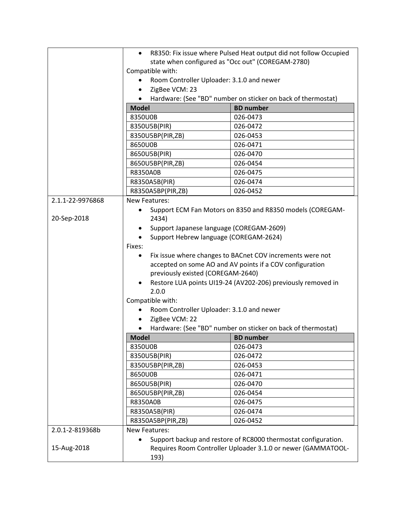|                  | R8350: Fix issue where Pulsed Heat output did not follow Occupied                                                              |                                                              |  |
|------------------|--------------------------------------------------------------------------------------------------------------------------------|--------------------------------------------------------------|--|
|                  | state when configured as "Occ out" (COREGAM-2780)<br>Compatible with:                                                          |                                                              |  |
|                  |                                                                                                                                |                                                              |  |
|                  | Room Controller Uploader: 3.1.0 and newer                                                                                      |                                                              |  |
|                  | ZigBee VCM: 23<br>$\bullet$                                                                                                    |                                                              |  |
|                  | Hardware: (See "BD" number on sticker on back of thermostat)                                                                   |                                                              |  |
|                  | <b>Model</b>                                                                                                                   | <b>BD</b> number                                             |  |
|                  | 8350U0B                                                                                                                        | 026-0473                                                     |  |
|                  | 8350U5B(PIR)                                                                                                                   | 026-0472                                                     |  |
|                  | 8350U5BP(PIR,ZB)                                                                                                               | 026-0453                                                     |  |
|                  | 8650U0B                                                                                                                        | 026-0471                                                     |  |
|                  | 8650U5B(PIR)                                                                                                                   | 026-0470                                                     |  |
|                  | 8650U5BP(PIR,ZB)                                                                                                               | 026-0454                                                     |  |
|                  | R8350A0B                                                                                                                       | 026-0475                                                     |  |
|                  | R8350A5B(PIR)                                                                                                                  | 026-0474                                                     |  |
|                  | R8350A5BP(PIR,ZB)                                                                                                              | 026-0452                                                     |  |
| 2.1.1-22-9976868 | <b>New Features:</b>                                                                                                           |                                                              |  |
|                  |                                                                                                                                | Support ECM Fan Motors on 8350 and R8350 models (COREGAM-    |  |
| 20-Sep-2018      | 2434)                                                                                                                          |                                                              |  |
|                  | Support Japanese language (COREGAM-2609)                                                                                       |                                                              |  |
|                  | Support Hebrew language (COREGAM-2624)<br>$\bullet$                                                                            |                                                              |  |
|                  | Fixes:                                                                                                                         |                                                              |  |
|                  | ٠                                                                                                                              | Fix issue where changes to BACnet COV increments were not    |  |
|                  |                                                                                                                                | accepted on some AO and AV points if a COV configuration     |  |
|                  | previously existed (COREGAM-2640)<br>Restore LUA points UI19-24 (AV202-206) previously removed in                              |                                                              |  |
|                  |                                                                                                                                |                                                              |  |
|                  | 2.0.0                                                                                                                          |                                                              |  |
|                  | Compatible with:                                                                                                               |                                                              |  |
|                  | Room Controller Uploader: 3.1.0 and newer<br>٠                                                                                 |                                                              |  |
|                  | ZigBee VCM: 22<br>$\bullet$                                                                                                    |                                                              |  |
|                  | $\bullet$                                                                                                                      | Hardware: (See "BD" number on sticker on back of thermostat) |  |
|                  | <b>Model</b>                                                                                                                   | <b>BD</b> number                                             |  |
|                  | 8350U0B                                                                                                                        | 026-0473                                                     |  |
|                  | 8350U5B(PIR)                                                                                                                   | 026-0472                                                     |  |
|                  | 8350U5BP(PIR,ZB)                                                                                                               | 026-0453                                                     |  |
|                  | 8650U0B                                                                                                                        | 026-0471                                                     |  |
|                  | 8650U5B(PIR)                                                                                                                   | 026-0470                                                     |  |
|                  | 8650U5BP(PIR,ZB)                                                                                                               | 026-0454                                                     |  |
|                  | R8350A0B                                                                                                                       | 026-0475                                                     |  |
|                  | R8350A5B(PIR)                                                                                                                  | 026-0474                                                     |  |
|                  | R8350A5BP(PIR,ZB)                                                                                                              | 026-0452                                                     |  |
| 2.0.1-2-819368b  | <b>New Features:</b>                                                                                                           |                                                              |  |
|                  | Support backup and restore of RC8000 thermostat configuration.<br>Requires Room Controller Uploader 3.1.0 or newer (GAMMATOOL- |                                                              |  |
| 15-Aug-2018      |                                                                                                                                |                                                              |  |
|                  | 193)                                                                                                                           |                                                              |  |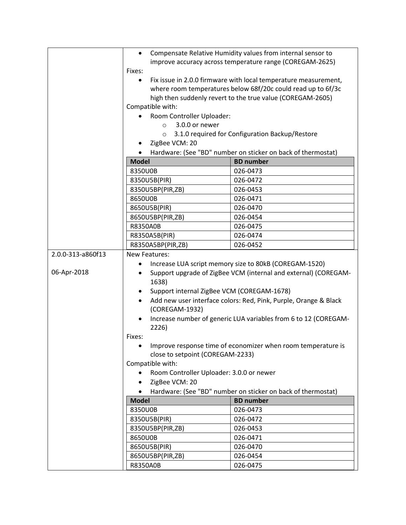|                   | Compensate Relative Humidity values from internal sensor to                                                                                  |                                                              |  |
|-------------------|----------------------------------------------------------------------------------------------------------------------------------------------|--------------------------------------------------------------|--|
|                   | improve accuracy across temperature range (COREGAM-2625)<br>Fixes:                                                                           |                                                              |  |
|                   | Fix issue in 2.0.0 firmware with local temperature measurement,<br>$\bullet$<br>where room temperatures below 68f/20c could read up to 6f/3c |                                                              |  |
|                   | high then suddenly revert to the true value (COREGAM-2605)                                                                                   |                                                              |  |
|                   | Compatible with:                                                                                                                             |                                                              |  |
|                   | Room Controller Uploader:                                                                                                                    |                                                              |  |
|                   | 3.0.0 or newer<br>$\circ$                                                                                                                    |                                                              |  |
|                   | 3.1.0 required for Configuration Backup/Restore<br>$\circ$<br>ZigBee VCM: 20<br>Hardware: (See "BD" number on sticker on back of thermostat) |                                                              |  |
|                   |                                                                                                                                              |                                                              |  |
|                   |                                                                                                                                              |                                                              |  |
|                   | <b>Model</b>                                                                                                                                 | <b>BD</b> number                                             |  |
|                   | 8350U0B                                                                                                                                      | 026-0473                                                     |  |
|                   | 8350U5B(PIR)                                                                                                                                 | 026-0472                                                     |  |
|                   | 8350U5BP(PIR,ZB)                                                                                                                             | 026-0453                                                     |  |
|                   | 8650U0B                                                                                                                                      | 026-0471                                                     |  |
|                   | 8650U5B(PIR)                                                                                                                                 | 026-0470                                                     |  |
|                   | 8650U5BP(PIR,ZB)<br>R8350A0B                                                                                                                 | 026-0454<br>026-0475                                         |  |
|                   | R8350A5B(PIR)                                                                                                                                | 026-0474                                                     |  |
|                   | R8350A5BP(PIR,ZB)                                                                                                                            | 026-0452                                                     |  |
| 2.0.0-313-a860f13 | New Features:                                                                                                                                |                                                              |  |
|                   |                                                                                                                                              |                                                              |  |
| 06-Apr-2018       | Increase LUA script memory size to 80kB (COREGAM-1520)<br>Support upgrade of ZigBee VCM (internal and external) (COREGAM-<br>٠<br>1638)      |                                                              |  |
|                   | Support internal ZigBee VCM (COREGAM-1678)                                                                                                   |                                                              |  |
|                   | Add new user interface colors: Red, Pink, Purple, Orange & Black<br>(COREGAM-1932)                                                           |                                                              |  |
|                   | Increase number of generic LUA variables from 6 to 12 (COREGAM-<br>2226)                                                                     |                                                              |  |
|                   | Fixes:                                                                                                                                       |                                                              |  |
|                   | Improve response time of economizer when room temperature is<br>close to setpoint (COREGAM-2233)                                             |                                                              |  |
|                   | Compatible with:                                                                                                                             |                                                              |  |
|                   | Room Controller Uploader: 3.0.0 or newer                                                                                                     |                                                              |  |
|                   | ZigBee VCM: 20<br>$\bullet$                                                                                                                  |                                                              |  |
|                   |                                                                                                                                              | Hardware: (See "BD" number on sticker on back of thermostat) |  |
|                   | <b>Model</b>                                                                                                                                 | <b>BD</b> number                                             |  |
|                   | 8350U0B                                                                                                                                      | 026-0473                                                     |  |
|                   | 8350U5B(PIR)                                                                                                                                 | 026-0472                                                     |  |
|                   | 8350U5BP(PIR,ZB)                                                                                                                             | 026-0453                                                     |  |
|                   | 8650U0B                                                                                                                                      | 026-0471                                                     |  |
|                   | 8650U5B(PIR)                                                                                                                                 | 026-0470                                                     |  |
|                   | 8650U5BP(PIR,ZB)                                                                                                                             | 026-0454                                                     |  |
|                   | R8350A0B                                                                                                                                     | 026-0475                                                     |  |